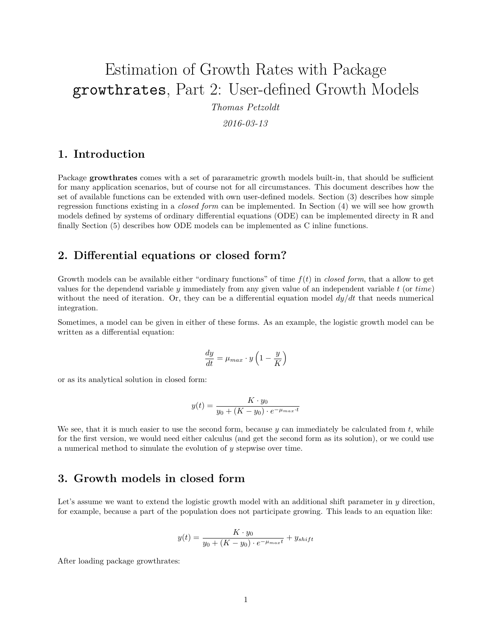# Estimation of Growth Rates with Package growthrates, Part 2: User-defined Growth Models

*Thomas Petzoldt*

*2016-03-13*

#### **1. Introduction**

Package **growthrates** comes with a set of pararametric growth models built-in, that should be sufficient for many application scenarios, but of course not for all circumstances. This document describes how the set of available functions can be extended with own user-defined models. Section (3) describes how simple regression functions existing in a *closed form* can be implemented. In Section (4) we will see how growth models defined by systems of ordinary differential equations (ODE) can be implemented directy in R and finally Section (5) describes how ODE models can be implemented as C inline functions.

## **2. Differential equations or closed form?**

Growth models can be available either "ordinary functions" of time *f*(*t*) in *closed form*, that a allow to get values for the dependend variable *y* immediately from any given value of an independent variable *t* (or *time*) without the need of iteration. Or, they can be a differential equation model *dy/dt* that needs numerical integration.

Sometimes, a model can be given in either of these forms. As an example, the logistic growth model can be written as a differential equation:

$$
\frac{dy}{dt} = \mu_{max} \cdot y \left( 1 - \frac{y}{K} \right)
$$

or as its analytical solution in closed form:

$$
y(t) = \frac{K \cdot y_0}{y_0 + (K - y_0) \cdot e^{-\mu_{max} \cdot t}}
$$

We see, that it is much easier to use the second form, because *y* can immediately be calculated from *t*, while for the first version, we would need either calculus (and get the second form as its solution), or we could use a numerical method to simulate the evolution of *y* stepwise over time.

## **3. Growth models in closed form**

Let's assume we want to extend the logistic growth model with an additional shift parameter in *y* direction, for example, because a part of the population does not participate growing. This leads to an equation like:

$$
y(t) = \frac{K \cdot y_0}{y_0 + (K - y_0) \cdot e^{-\mu_{max}t}} + y_{shift}
$$

After loading package growthrates: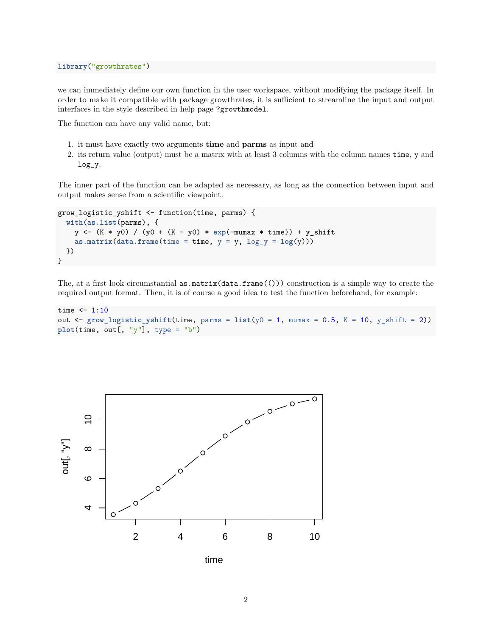we can immediately define our own function in the user workspace, without modifying the package itself. In order to make it compatible with package growthrates, it is sufficient to streamline the input and output interfaces in the style described in help page ?growthmodel.

The function can have any valid name, but:

- 1. it must have exactly two arguments **time** and **parms** as input and
- 2. its return value (output) must be a matrix with at least 3 columns with the column names time, y and log\_y.

The inner part of the function can be adapted as necessary, as long as the connection between input and output makes sense from a scientific viewpoint.

```
grow_logistic_yshift <- function(time, parms) {
  with(as.list(parms), {
   y <- (K * y0) / (y0 + (K - y0) * exp(-mumax * time)) + y_shift
    as.matrix(data.frame(time = time, y = y, log_y = log(y)))
 })
}
```
The, at a first look circumstantial  $as.\text{matrix(data}.\text{frame}(())$  construction is a simple way to create the required output format. Then, it is of course a good idea to test the function beforehand, for example:

```
time <-1:10out \leq grow logistic yshift(time, parms = list(y0 = 1, mumax = 0.5, K = 10, y_shift = 2))
plot(time, out[, "y"], type = "b")
```


time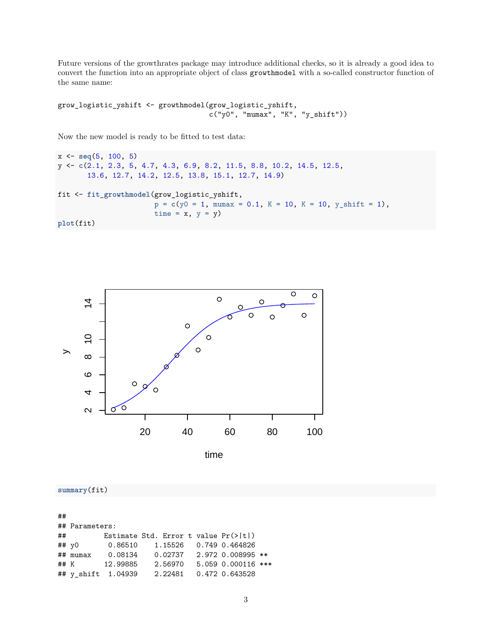Future versions of the growthrates package may introduce additional checks, so it is already a good idea to convert the function into an appropriate object of class growthmodel with a so-called constructor function of the same name:

```
grow_logistic_yshift <- growthmodel(grow_logistic_yshift,
                                   c("y0", "mumax", "K", "y_shift")
```
Now the new model is ready to be fitted to test data:

```
x <- seq(5, 100, 5)
y <- c(2.1, 2.3, 5, 4.7, 4.3, 6.9, 8.2, 11.5, 8.8, 10.2, 14.5, 12.5,
       13.6, 12.7, 14.2, 12.5, 13.8, 15.1, 12.7, 14.9)
fit <- fit_growthmodel(grow_logistic_yshift,
                        p = c(y0 = 1, \text{ mumar} = 0.1, K = 10, K = 10, y_shift = 1),time = x, y = y)
plot(fit)
```


**summary**(fit)

## ## Parameters: ## Estimate Std. Error t value Pr(>|t|) ## y0 0.86510 1.15526 0.749 0.464826 ## mumax 0.08134 0.02737 2.972 0.008995 \*\* ## K 12.99885 2.56970 5.059 0.000116 \*\*\* ## y\_shift 1.04939 2.22481 0.472 0.643528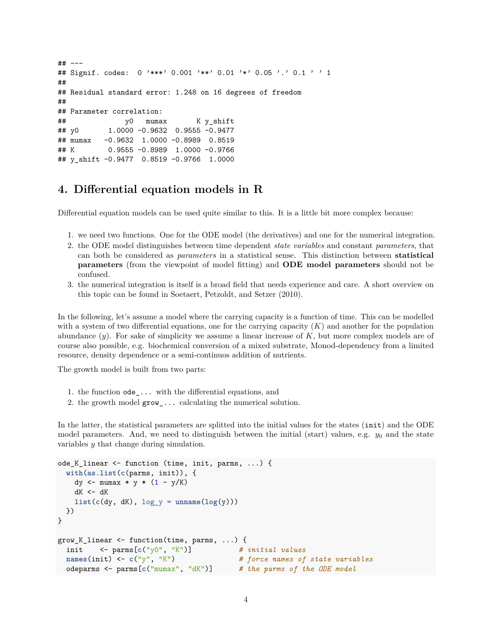```
## ---
## Signif. codes: 0 '***' 0.001 '**' 0.01 '*' 0.05 '.' 0.1 ' ' 1
##
## Residual standard error: 1.248 on 16 degrees of freedom
##
## Parameter correlation:
## y0 mumax K y_shift
## y0 1.0000 -0.9632 0.9555 -0.9477
## mumax -0.9632 1.0000 -0.8989 0.8519
## K 0.9555 -0.8989 1.0000 -0.9766
## y_shift -0.9477 0.8519 -0.9766 1.0000
```
## **4. Differential equation models in R**

Differential equation models can be used quite similar to this. It is a little bit more complex because:

- 1. we need two functions. One for the ODE model (the derivatives) and one for the numerical integration.
- 2. the ODE model distinguishes between time dependent *state variables* and constant *parameters*, that can both be considered as *parameters* in a statistical sense. This distinction between **statistical parameters** (from the viewpoint of model fitting) and **ODE model parameters** should not be confused.
- 3. the numerical integration is itself is a broad field that needs experience and care. A short overview on this topic can be found in Soetaert, Petzoldt, and Setzer (2010).

In the following, let's assume a model where the carrying capacity is a function of time. This can be modelled with a system of two differential equations, one for the carrying capacity (*K*) and another for the population abundance (*y*). For sake of simplicity we assume a linear increase of *K*, but more complex models are of course also possible, e.g. biochemical conversion of a mixed substrate, Monod-dependency from a limited resource, density dependence or a semi-continuos addition of nutrients.

The growth model is built from two parts:

- 1. the function ode\_... with the differential equations, and
- 2. the growth model grow\_... calculating the numerical solution.

In the latter, the statistical parameters are splitted into the initial values for the states (init) and the ODE model parameters. And, we need to distinguish between the initial (start) values, e.g.  $y_0$  and the state variables *y* that change during simulation.

```
ode_K_linear <- function (time, init, parms, ...) {
  with(as.list(c(parms, init)), {
    dy <- mumax * y * (1 - y/K)dK < -dKlist(c(dy, dK), log_y = unname(log(y)))})
}
grow_K_linear <- function(time, parms, ...) {
  init <- parms[c("y0", "K")] # initial values<br>names(init) <- c("y", "K") # force names of
                                              # force names of state variables
  odeparms <- parms[c("mumax", "dK")] # the parms of the ODE model
```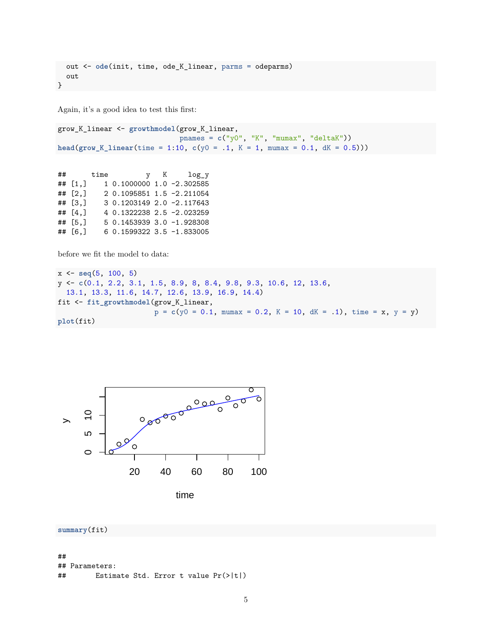```
out <- ode(init, time, ode_K_linear, parms = odeparms)
  out
}
```
Again, it's a good idea to test this first:

```
grow_K_linear <- growthmodel(grow_K_linear,
                             pnames = c("y0", "K", "mumax", "deltaK"))
head(grow_K_linear(time = 1:10, c(y0 = .1, K = 1, mumax = 0.1, dK = 0.5)))
```
## time y K log\_y ## [1,] 1 0.1000000 1.0 -2.302585 ## [2,] 2 0.1095851 1.5 -2.211054 ## [3,] 3 0.1203149 2.0 -2.117643 ## [4,] 4 0.1322238 2.5 -2.023259 ## [5,] 5 0.1453939 3.0 -1.928308 ## [6,] 6 0.1599322 3.5 -1.833005

before we fit the model to data:

```
x <- seq(5, 100, 5)
y <- c(0.1, 2.2, 3.1, 1.5, 8.9, 8, 8.4, 9.8, 9.3, 10.6, 12, 13.6,
  13.1, 13.3, 11.6, 14.7, 12.6, 13.9, 16.9, 14.4)
fit <- fit_growthmodel(grow_K_linear,
                       p = c(y0 = 0.1, mumax = 0.2, K = 10, dK = .1), time = x, y = y)
plot(fit)
```


time

```
summary(fit)
```

```
##
## Parameters:
```

```
## Estimate Std. Error t value Pr(>|t|)
```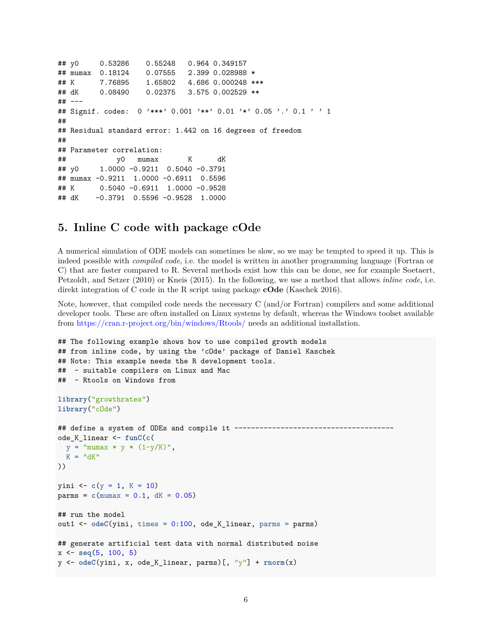```
## y0 0.53286 0.55248 0.964 0.349157
## mumax 0.18124 0.07555 2.399 0.028988 *
## K 7.76895 1.65802 4.686 0.000248 ***
## dK 0.08490 0.02375 3.575 0.002529 **
## ---
## Signif. codes: 0 '***' 0.001 '**' 0.01 '*' 0.05 '.' 0.1 ' ' 1
##
## Residual standard error: 1.442 on 16 degrees of freedom
##
## Parameter correlation:
## y0 mumax K dK
## y0 1.0000 -0.9211 0.5040 -0.3791
## mumax -0.9211 1.0000 -0.6911 0.5596
## K 0.5040 -0.6911 1.0000 -0.9528
## dK -0.3791 0.5596 -0.9528 1.0000
```
#### **5. Inline C code with package cOde**

A numerical simulation of ODE models can sometimes be slow, so we may be tempted to speed it up. This is indeed possible with *compiled code*, i.e. the model is written in another programming language (Fortran or C) that are faster compared to R. Several methods exist how this can be done, see for example Soetaert, Petzoldt, and Setzer (2010) or Kneis (2015). In the following, we use a method that allows *inline code*, i.e. direkt integration of C code in the R script using package **cOde** (Kaschek 2016).

Note, however, that compiled code needs the necessary C (and/or Fortran) compilers and some additional developer tools. These are often installed on Linux systems by default, whereas the Windows toolset available from <https://cran.r-project.org/bin/windows/Rtools/> needs an additional installation.

```
## The following example shows how to use compiled growth models
## from inline code, by using the 'cOde' package of Daniel Kaschek
## Note: This example needs the R development tools.
## - suitable compilers on Linux and Mac
## - Rtools on Windows from
library("growthrates")
library("cOde")
## define a system of ODEs and compile it ---------------------
ode_K_linear <- funC(c(
 y = "mumax * y * (1-y/K)",
 K = "dK"))
yini <- c(y = 1, K = 10)
params = c(mumax = 0.1, dK = 0.05)## run the model
out1 <- odeC(yini, times = 0:100, ode_K_linear, parms = parms)
## generate artificial test data with normal distributed noise
x <- seq(5, 100, 5)
y <- odeC(yini, x, ode_K_linear, parms)[, "y"] + rnorm(x)
```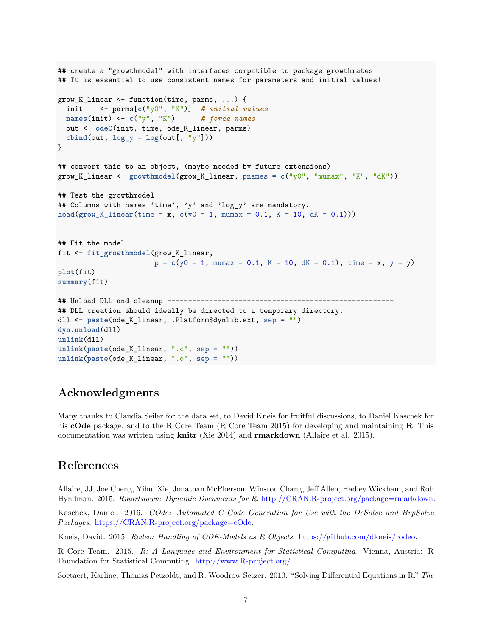```
## create a "growthmodel" with interfaces compatible to package growthrates
## It is essential to use consistent names for parameters and initial values!
grow K linear \leq function(time, parms, ...) {
  init <- parms[c("y0", "K")] # initial values
 names(init) <- c("y", "K") # force names
 out <- odeC(init, time, ode_K_linear, parms)
  cbind(out, \log y = \log(\text{out}[\, , \, "y"])))
}
## convert this to an object, (maybe needed by future extensions)
grow_K_linear <- growthmodel(grow_K_linear, pnames = c("y0", "mumax", "K", "dK"))
## Test the growthmodel
## Columns with names 'time', 'y' and 'log_y' are mandatory.
head(\text{grow}_K linear(\text{time} = x, c(y0 = 1, \text{numax} = 0.1, K = 10, dK = 0.1))
## Fit the model ---------------------------------------------------------------
fit <- fit_growthmodel(grow_K_linear,
                        p = c(y0 = 1, \text{ m·max} = 0.1, K = 10, dK = 0.1), \text{ time} = x, y = y)plot(fit)
summary(fit)
## Unload DLL and cleanup --------------------
## DLL creation should ideally be directed to a temporary directory.
dll <- paste(ode_K_linear, .Platform$dynlib.ext, sep = "")
dyn.unload(dll)
unlink(dll)
unlink(paste(ode_K_linear, ".c", sep = ""))
unlink(paste(ode_K_linear, ".o", sep = ""))
```
## **Acknowledgments**

Many thanks to Claudia Seiler for the data set, to David Kneis for fruitful discussions, to Daniel Kaschek for his **cOde** package, and to the R Core Team (R Core Team 2015) for developing and maintaining **R**. This documentation was written using **knitr** (Xie 2014) and **rmarkdown** (Allaire et al. 2015).

## **References**

Allaire, JJ, Joe Cheng, Yihui Xie, Jonathan McPherson, Winston Chang, Jeff Allen, Hadley Wickham, and Rob Hyndman. 2015. *Rmarkdown: Dynamic Documents for R*. [http://CRAN.R-project.org/package=rmarkdown.](http://CRAN.R-project.org/package=rmarkdown)

Kaschek, Daniel. 2016. *COde: Automated C Code Generation for Use with the DeSolve and BvpSolve Packages*. [https://CRAN.R-project.org/package=cOde.](https://CRAN.R-project.org/package=cOde)

Kneis, David. 2015. *Rodeo: Handling of ODE-Models as R Objects*. [https://github.com/dkneis/rodeo.](https://github.com/dkneis/rodeo)

R Core Team. 2015. *R: A Language and Environment for Statistical Computing*. Vienna, Austria: R Foundation for Statistical Computing. [http://www.R-project.org/.](http://www.R-project.org/)

Soetaert, Karline, Thomas Petzoldt, and R. Woodrow Setzer. 2010. "Solving Differential Equations in R." *The*